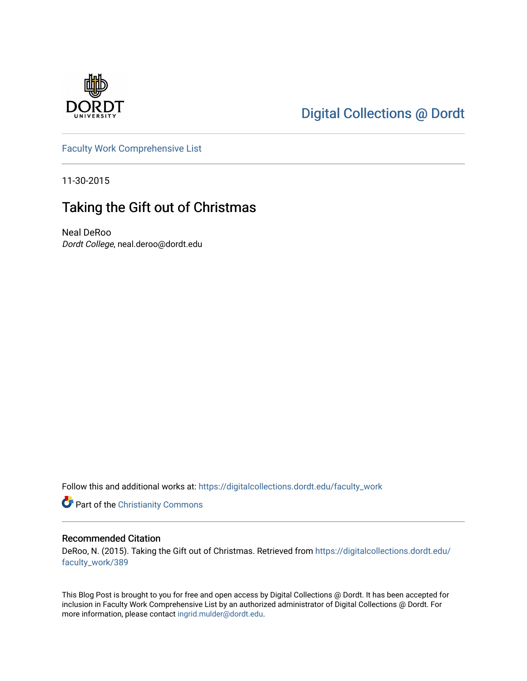

# [Digital Collections @ Dordt](https://digitalcollections.dordt.edu/)

[Faculty Work Comprehensive List](https://digitalcollections.dordt.edu/faculty_work)

11-30-2015

## Taking the Gift out of Christmas

Neal DeRoo Dordt College, neal.deroo@dordt.edu

Follow this and additional works at: [https://digitalcollections.dordt.edu/faculty\\_work](https://digitalcollections.dordt.edu/faculty_work?utm_source=digitalcollections.dordt.edu%2Ffaculty_work%2F389&utm_medium=PDF&utm_campaign=PDFCoverPages) 

Part of the [Christianity Commons](http://network.bepress.com/hgg/discipline/1181?utm_source=digitalcollections.dordt.edu%2Ffaculty_work%2F389&utm_medium=PDF&utm_campaign=PDFCoverPages) 

#### Recommended Citation

DeRoo, N. (2015). Taking the Gift out of Christmas. Retrieved from [https://digitalcollections.dordt.edu/](https://digitalcollections.dordt.edu/faculty_work/389?utm_source=digitalcollections.dordt.edu%2Ffaculty_work%2F389&utm_medium=PDF&utm_campaign=PDFCoverPages) [faculty\\_work/389](https://digitalcollections.dordt.edu/faculty_work/389?utm_source=digitalcollections.dordt.edu%2Ffaculty_work%2F389&utm_medium=PDF&utm_campaign=PDFCoverPages)

This Blog Post is brought to you for free and open access by Digital Collections @ Dordt. It has been accepted for inclusion in Faculty Work Comprehensive List by an authorized administrator of Digital Collections @ Dordt. For more information, please contact [ingrid.mulder@dordt.edu.](mailto:ingrid.mulder@dordt.edu)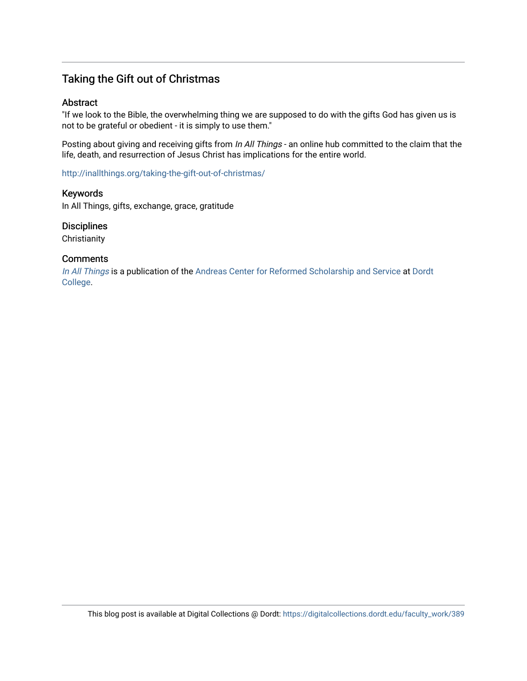## Taking the Gift out of Christmas

#### Abstract

"If we look to the Bible, the overwhelming thing we are supposed to do with the gifts God has given us is not to be grateful or obedient - it is simply to use them."

Posting about giving and receiving gifts from In All Things - an online hub committed to the claim that the life, death, and resurrection of Jesus Christ has implications for the entire world.

<http://inallthings.org/taking-the-gift-out-of-christmas/>

Keywords

In All Things, gifts, exchange, grace, gratitude

#### **Disciplines**

**Christianity** 

#### **Comments**

[In All Things](http://inallthings.org/) is a publication of the [Andreas Center for Reformed Scholarship and Service](http://www.dordt.edu/services_support/andreas_center/) at Dordt [College](http://www.dordt.edu/).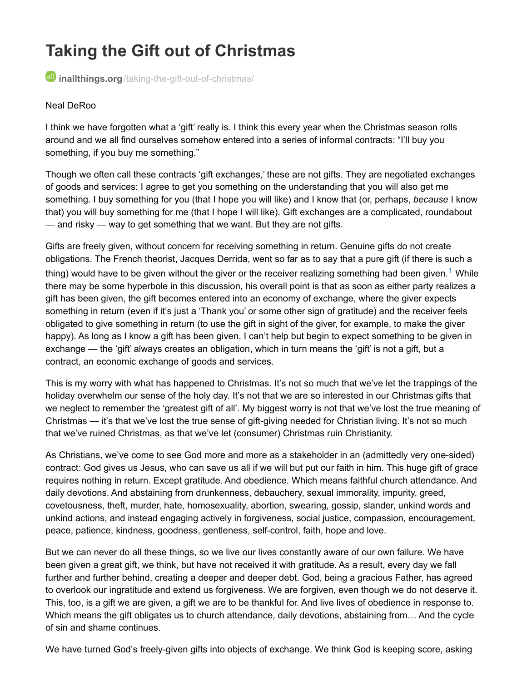# **Taking the Gift out of Christmas**

**inallthings.org**[/taking-the-gift-out-of-christmas/](http://inallthings.org/taking-the-gift-out-of-christmas/)

#### Neal DeRoo

I think we have forgotten what a 'gift' really is. I think this every year when the Christmas season rolls around and we all find ourselves somehow entered into a series of informal contracts: "I'll buy you something, if you buy me something."

Though we often call these contracts 'gift exchanges,' these are not gifts. They are negotiated exchanges of goods and services: I agree to get you something on the understanding that you will also get me something. I buy something for you (that I hope you will like) and I know that (or, perhaps, *because* I know that) you will buy something for me (that I hope I will like). Gift exchanges are a complicated, roundabout — and risky — way to get something that we want. But they are not gifts.

Gifts are freely given, without concern for receiving something in return. Genuine gifts do not create obligations. The French theorist, Jacques Derrida, went so far as to say that a pure gift (if there is such a thing) would have to be given without the giver or the receiver realizing something had been given.<sup>[1](http://inallthings.org/taking-the-gift-out-of-christmas/#fn1-7068)</sup> While there may be some hyperbole in this discussion, his overall point is that as soon as either party realizes a gift has been given, the gift becomes entered into an economy of exchange, where the giver expects something in return (even if it's just a 'Thank you' or some other sign of gratitude) and the receiver feels obligated to give something in return (to use the gift in sight of the giver, for example, to make the giver happy). As long as I know a gift has been given, I can't help but begin to expect something to be given in exchange — the 'gift' always creates an obligation, which in turn means the 'gift' is not a gift, but a contract, an economic exchange of goods and services.

This is my worry with what has happened to Christmas. It's not so much that we've let the trappings of the holiday overwhelm our sense of the holy day. It's not that we are so interested in our Christmas gifts that we neglect to remember the 'greatest gift of all'. My biggest worry is not that we've lost the true meaning of Christmas — it's that we've lost the true sense of gift-giving needed for Christian living. It's not so much that we've ruined Christmas, as that we've let (consumer) Christmas ruin Christianity.

As Christians, we've come to see God more and more as a stakeholder in an (admittedly very one-sided) contract: God gives us Jesus, who can save us all if we will but put our faith in him. This huge gift of grace requires nothing in return. Except gratitude. And obedience. Which means faithful church attendance. And daily devotions. And abstaining from drunkenness, debauchery, sexual immorality, impurity, greed, covetousness, theft, murder, hate, homosexuality, abortion, swearing, gossip, slander, unkind words and unkind actions, and instead engaging actively in forgiveness, social justice, compassion, encouragement, peace, patience, kindness, goodness, gentleness, self-control, faith, hope and love.

But we can never do all these things, so we live our lives constantly aware of our own failure. We have been given a great gift, we think, but have not received it with gratitude. As a result, every day we fall further and further behind, creating a deeper and deeper debt. God, being a gracious Father, has agreed to overlook our ingratitude and extend us forgiveness. We are forgiven, even though we do not deserve it. This, too, is a gift we are given, a gift we are to be thankful for. And live lives of obedience in response to. Which means the gift obligates us to church attendance, daily devotions, abstaining from… And the cycle of sin and shame continues.

We have turned God's freely-given gifts into objects of exchange. We think God is keeping score, asking